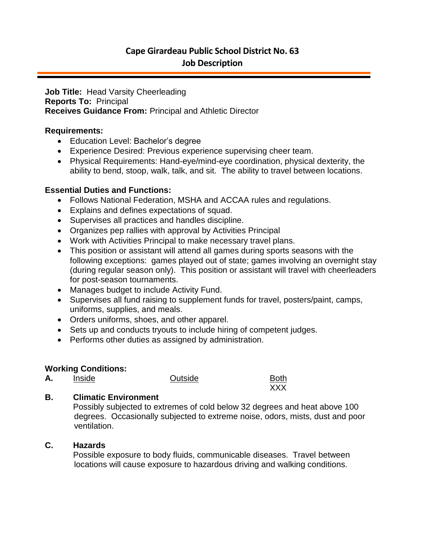# **Cape Girardeau Public School District No. 63 Job Description**

**Job Title:** Head Varsity Cheerleading **Reports To:** Principal **Receives Guidance From:** Principal and Athletic Director

### **Requirements:**

- Education Level: Bachelor's degree
- Experience Desired: Previous experience supervising cheer team.
- Physical Requirements: Hand-eye/mind-eye coordination, physical dexterity, the ability to bend, stoop, walk, talk, and sit. The ability to travel between locations.

### **Essential Duties and Functions:**

- Follows National Federation, MSHA and ACCAA rules and regulations.
- Explains and defines expectations of squad.
- Supervises all practices and handles discipline.
- Organizes pep rallies with approval by Activities Principal
- Work with Activities Principal to make necessary travel plans.
- This position or assistant will attend all games during sports seasons with the following exceptions: games played out of state; games involving an overnight stay (during regular season only). This position or assistant will travel with cheerleaders for post-season tournaments.
- Manages budget to include Activity Fund.
- Supervises all fund raising to supplement funds for travel, posters/paint, camps, uniforms, supplies, and meals.
- Orders uniforms, shoes, and other apparel.
- Sets up and conducts tryouts to include hiring of competent judges.
- Performs other duties as assigned by administration.

### **Working Conditions:**

A. Inside **Outside** 



## **B. Climatic Environment**

Possibly subjected to extremes of cold below 32 degrees and heat above 100 degrees. Occasionally subjected to extreme noise, odors, mists, dust and poor ventilation.

## **C. Hazards**

Possible exposure to body fluids, communicable diseases. Travel between locations will cause exposure to hazardous driving and walking conditions.